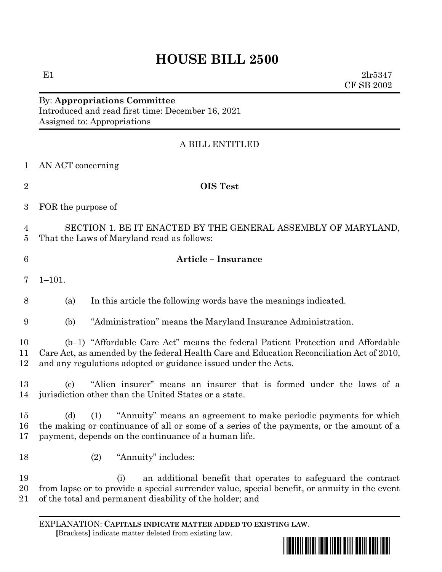E1  $2lr5347$ CF SB 2002

## By: **Appropriations Committee** Introduced and read first time: December 16, 2021 Assigned to: Appropriations

# A BILL ENTITLED

| AN ACT concerning |  |
|-------------------|--|
|                   |  |

| I |
|---|
|   |
|   |
|   |
|   |

### **OIS Test**

FOR the purpose of

 SECTION 1. BE IT ENACTED BY THE GENERAL ASSEMBLY OF MARYLAND, That the Laws of Maryland read as follows:

### **Article – Insurance**

 $7 \quad 1 - 101$ 

(a) In this article the following words have the meanings indicated.

(b) "Administration" means the Maryland Insurance Administration.

 (b–1) "Affordable Care Act" means the federal Patient Protection and Affordable Care Act, as amended by the federal Health Care and Education Reconciliation Act of 2010, and any regulations adopted or guidance issued under the Acts.

 (c) "Alien insurer" means an insurer that is formed under the laws of a jurisdiction other than the United States or a state.

 (d) (1) "Annuity" means an agreement to make periodic payments for which the making or continuance of all or some of a series of the payments, or the amount of a payment, depends on the continuance of a human life.

(2) "Annuity" includes:

 (i) an additional benefit that operates to safeguard the contract from lapse or to provide a special surrender value, special benefit, or annuity in the event of the total and permanent disability of the holder; and

EXPLANATION: **CAPITALS INDICATE MATTER ADDED TO EXISTING LAW**.  **[**Brackets**]** indicate matter deleted from existing law.

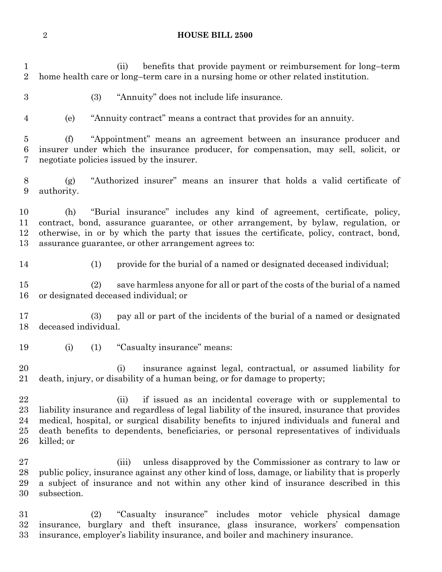(ii) benefits that provide payment or reimbursement for long–term home health care or long–term care in a nursing home or other related institution. (3) "Annuity" does not include life insurance. (e) "Annuity contract" means a contract that provides for an annuity. (f) "Appointment" means an agreement between an insurance producer and insurer under which the insurance producer, for compensation, may sell, solicit, or negotiate policies issued by the insurer. (g) "Authorized insurer" means an insurer that holds a valid certificate of authority. (h) "Burial insurance" includes any kind of agreement, certificate, policy, contract, bond, assurance guarantee, or other arrangement, by bylaw, regulation, or otherwise, in or by which the party that issues the certificate, policy, contract, bond, assurance guarantee, or other arrangement agrees to: (1) provide for the burial of a named or designated deceased individual; (2) save harmless anyone for all or part of the costs of the burial of a named or designated deceased individual; or (3) pay all or part of the incidents of the burial of a named or designated deceased individual. (i) (1) "Casualty insurance" means: (i) insurance against legal, contractual, or assumed liability for death, injury, or disability of a human being, or for damage to property; (ii) if issued as an incidental coverage with or supplemental to liability insurance and regardless of legal liability of the insured, insurance that provides medical, hospital, or surgical disability benefits to injured individuals and funeral and death benefits to dependents, beneficiaries, or personal representatives of individuals killed; or (iii) unless disapproved by the Commissioner as contrary to law or public policy, insurance against any other kind of loss, damage, or liability that is properly a subject of insurance and not within any other kind of insurance described in this subsection. (2) "Casualty insurance" includes motor vehicle physical damage

 insurance, burglary and theft insurance, glass insurance, workers' compensation insurance, employer's liability insurance, and boiler and machinery insurance.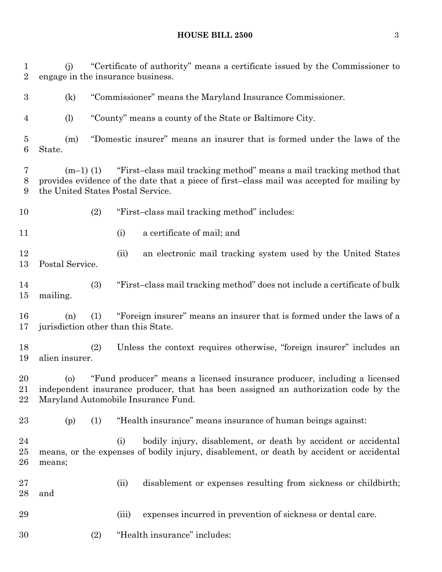(j) "Certificate of authority" means a certificate issued by the Commissioner to

 engage in the insurance business. (k) "Commissioner" means the Maryland Insurance Commissioner. (l) "County" means a county of the State or Baltimore City. (m) "Domestic insurer" means an insurer that is formed under the laws of the State. (m–1) (1) "First–class mail tracking method" means a mail tracking method that provides evidence of the date that a piece of first–class mail was accepted for mailing by the United States Postal Service. (2) "First–class mail tracking method" includes: (i) a certificate of mail; and (ii) an electronic mail tracking system used by the United States Postal Service. (3) "First–class mail tracking method" does not include a certificate of bulk mailing. (n) (1) "Foreign insurer" means an insurer that is formed under the laws of a 17 jurisdiction other than this State. (2) Unless the context requires otherwise, "foreign insurer" includes an alien insurer. (o) "Fund producer" means a licensed insurance producer, including a licensed independent insurance producer, that has been assigned an authorization code by the Maryland Automobile Insurance Fund. (p) (1) "Health insurance" means insurance of human beings against: 24 (i) bodily injury, disablement, or death by accident or accidental means, or the expenses of bodily injury, disablement, or death by accident or accidental means; (ii) disablement or expenses resulting from sickness or childbirth; and (iii) expenses incurred in prevention of sickness or dental care.

(2) "Health insurance" includes: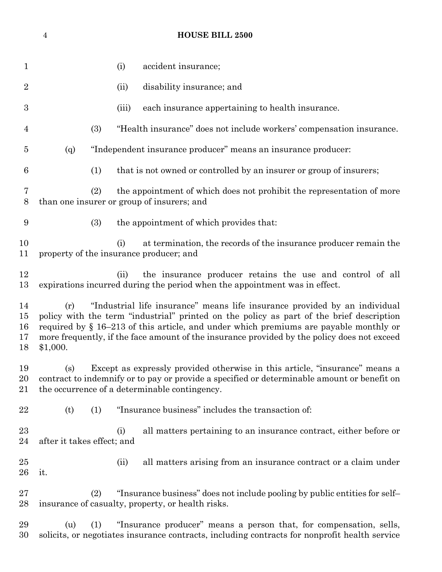| 1                          | (i)<br>accident insurance;                                                                                                                                                                                                                                                                                                                                                           |
|----------------------------|--------------------------------------------------------------------------------------------------------------------------------------------------------------------------------------------------------------------------------------------------------------------------------------------------------------------------------------------------------------------------------------|
| $\overline{2}$             | disability insurance; and<br>(ii)                                                                                                                                                                                                                                                                                                                                                    |
| 3                          | each insurance appertaining to health insurance.<br>(iii)                                                                                                                                                                                                                                                                                                                            |
| $\overline{4}$             | (3)<br>"Health insurance" does not include workers' compensation insurance.                                                                                                                                                                                                                                                                                                          |
| 5                          | "Independent insurance producer" means an insurance producer:<br>(q)                                                                                                                                                                                                                                                                                                                 |
| 6                          | (1)<br>that is not owned or controlled by an insurer or group of insurers;                                                                                                                                                                                                                                                                                                           |
| $\overline{7}$<br>8        | (2)<br>the appointment of which does not prohibit the representation of more<br>than one insurer or group of insurers; and                                                                                                                                                                                                                                                           |
| 9                          | (3)<br>the appointment of which provides that:                                                                                                                                                                                                                                                                                                                                       |
| 10<br>11                   | at termination, the records of the insurance producer remain the<br>(i)<br>property of the insurance producer; and                                                                                                                                                                                                                                                                   |
| 12<br>13                   | the insurance producer retains the use and control of all<br>(ii)<br>expirations incurred during the period when the appointment was in effect.                                                                                                                                                                                                                                      |
| 14<br>15<br>16<br>17<br>18 | "Industrial life insurance" means life insurance provided by an individual<br>(r)<br>policy with the term "industrial" printed on the policy as part of the brief description<br>required by $\S$ 16–213 of this article, and under which premiums are payable monthly or<br>more frequently, if the face amount of the insurance provided by the policy does not exceed<br>\$1,000. |
| 19<br>20<br>21             | Except as expressly provided otherwise in this article, "insurance" means a<br>(s)<br>contract to indemnify or to pay or provide a specified or determinable amount or benefit on<br>the occurrence of a determinable contingency.                                                                                                                                                   |
| 22                         | "Insurance business" includes the transaction of:<br>(t)<br>(1)                                                                                                                                                                                                                                                                                                                      |
| 23<br>24                   | all matters pertaining to an insurance contract, either before or<br>(i)<br>after it takes effect; and                                                                                                                                                                                                                                                                               |
| 25<br>26                   | all matters arising from an insurance contract or a claim under<br>(ii)<br>it.                                                                                                                                                                                                                                                                                                       |
| 27<br>28                   | "Insurance business" does not include pooling by public entities for self-<br>(2)<br>insurance of casualty, property, or health risks.                                                                                                                                                                                                                                               |
| 29<br>30                   | "Insurance producer" means a person that, for compensation, sells,<br>(u)<br>(1)<br>solicits, or negotiates insurance contracts, including contracts for nonprofit health service                                                                                                                                                                                                    |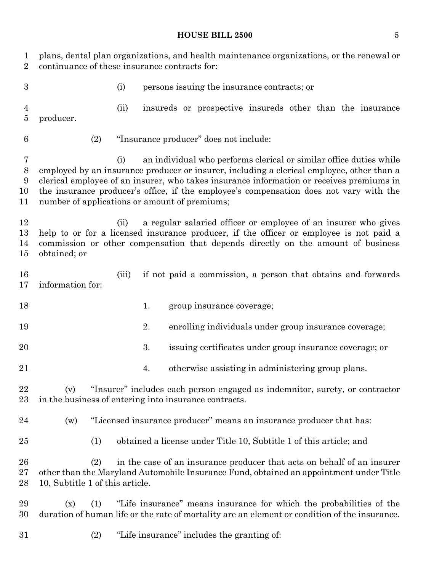| 1<br>$\overline{2}$         | plans, dental plan organizations, and health maintenance organizations, or the renewal or<br>continuance of these insurance contracts for:                                                                                                                                                                                                                                                                    |  |
|-----------------------------|---------------------------------------------------------------------------------------------------------------------------------------------------------------------------------------------------------------------------------------------------------------------------------------------------------------------------------------------------------------------------------------------------------------|--|
| $\boldsymbol{3}$            | (i)<br>persons is suing the insurance contracts; or                                                                                                                                                                                                                                                                                                                                                           |  |
| $\overline{4}$<br>$\bf 5$   | insureds or prospective insureds other than the insurance<br>(ii)<br>producer.                                                                                                                                                                                                                                                                                                                                |  |
| 6                           | (2)<br>"Insurance producer" does not include:                                                                                                                                                                                                                                                                                                                                                                 |  |
| 7<br>$8\,$<br>9<br>10<br>11 | an individual who performs clerical or similar office duties while<br>(i)<br>employed by an insurance producer or insurer, including a clerical employee, other than a<br>clerical employee of an insurer, who takes insurance information or receives premiums in<br>the insurance producer's office, if the employee's compensation does not vary with the<br>number of applications or amount of premiums; |  |
| 12<br>13<br>14<br>15        | a regular salaried officer or employee of an insurer who gives<br>(ii)<br>help to or for a licensed insurance producer, if the officer or employee is not paid a<br>commission or other compensation that depends directly on the amount of business<br>obtained; or                                                                                                                                          |  |
| 16<br>17                    | if not paid a commission, a person that obtains and forwards<br>(iii)<br>information for:                                                                                                                                                                                                                                                                                                                     |  |
| 18                          | 1.<br>group insurance coverage;                                                                                                                                                                                                                                                                                                                                                                               |  |
| 19                          | 2.<br>enrolling individuals under group insurance coverage;                                                                                                                                                                                                                                                                                                                                                   |  |
| 20                          | 3.<br>issuing certificates under group insurance coverage; or                                                                                                                                                                                                                                                                                                                                                 |  |
| 21                          | otherwise assisting in administering group plans.<br>4.                                                                                                                                                                                                                                                                                                                                                       |  |
| 22<br>23                    | "Insurer" includes each person engaged as indemnitor, surety, or contractor<br>(v)<br>in the business of entering into insurance contracts.                                                                                                                                                                                                                                                                   |  |
| 24                          | "Licensed insurance producer" means an insurance producer that has:<br>(w)                                                                                                                                                                                                                                                                                                                                    |  |
| 25                          | obtained a license under Title 10, Subtitle 1 of this article; and<br>(1)                                                                                                                                                                                                                                                                                                                                     |  |
| 26<br>27<br>28              | (2)<br>in the case of an insurance producer that acts on behalf of an insurer<br>other than the Maryland Automobile Insurance Fund, obtained an appointment under Title<br>10, Subtitle 1 of this article.                                                                                                                                                                                                    |  |
| 29<br>30                    | "Life insurance" means insurance for which the probabilities of the<br>(x)<br>(1)<br>duration of human life or the rate of mortality are an element or condition of the insurance.                                                                                                                                                                                                                            |  |
| 31                          | "Life insurance" includes the granting of:<br>(2)                                                                                                                                                                                                                                                                                                                                                             |  |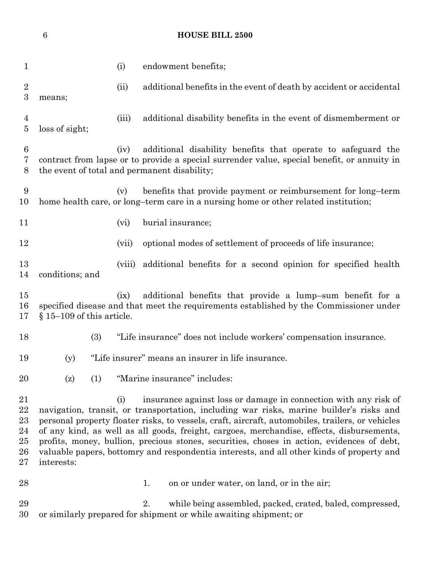(i) endowment benefits; 2 (ii) additional benefits in the event of death by accident or accidental means; (iii) additional disability benefits in the event of dismemberment or loss of sight; (iv) additional disability benefits that operate to safeguard the contract from lapse or to provide a special surrender value, special benefit, or annuity in the event of total and permanent disability; (v) benefits that provide payment or reimbursement for long–term home health care, or long–term care in a nursing home or other related institution; 11 (vi) burial insurance; (vii) optional modes of settlement of proceeds of life insurance; (viii) additional benefits for a second opinion for specified health conditions; and (ix) additional benefits that provide a lump–sum benefit for a specified disease and that meet the requirements established by the Commissioner under § 15–109 of this article. (3) "Life insurance" does not include workers' compensation insurance. (y) "Life insurer" means an insurer in life insurance. (z) (1) "Marine insurance" includes: (i) insurance against loss or damage in connection with any risk of navigation, transit, or transportation, including war risks, marine builder's risks and personal property floater risks, to vessels, craft, aircraft, automobiles, trailers, or vehicles of any kind, as well as all goods, freight, cargoes, merchandise, effects, disbursements, profits, money, bullion, precious stones, securities, choses in action, evidences of debt, valuable papers, bottomry and respondentia interests, and all other kinds of property and interests: 28 1. on or under water, on land, or in the air;

**HOUSE BILL 2500**

 2. while being assembled, packed, crated, baled, compressed, or similarly prepared for shipment or while awaiting shipment; or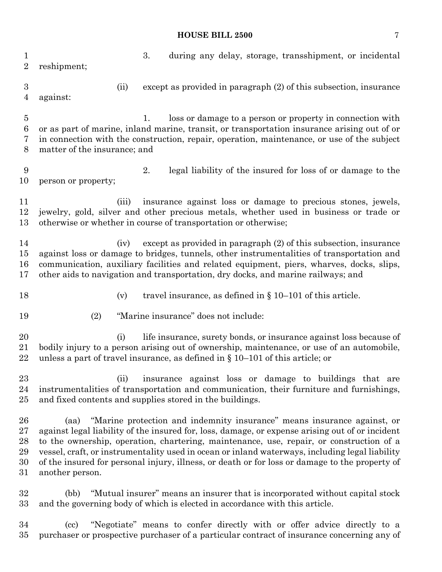3. during any delay, storage, transshipment, or incidental reshipment; (ii) except as provided in paragraph (2) of this subsection, insurance against: 1. loss or damage to a person or property in connection with or as part of marine, inland marine, transit, or transportation insurance arising out of or in connection with the construction, repair, operation, maintenance, or use of the subject matter of the insurance; and 2. legal liability of the insured for loss of or damage to the person or property; (iii) insurance against loss or damage to precious stones, jewels, jewelry, gold, silver and other precious metals, whether used in business or trade or otherwise or whether in course of transportation or otherwise; (iv) except as provided in paragraph (2) of this subsection, insurance against loss or damage to bridges, tunnels, other instrumentalities of transportation and communication, auxiliary facilities and related equipment, piers, wharves, docks, slips, other aids to navigation and transportation, dry docks, and marine railways; and 18 (v) travel insurance, as defined in § 10–101 of this article. (2) "Marine insurance" does not include: 20 (i) life insurance, surety bonds, or insurance against loss because of bodily injury to a person arising out of ownership, maintenance, or use of an automobile, unless a part of travel insurance, as defined in § 10–101 of this article; or (ii) insurance against loss or damage to buildings that are instrumentalities of transportation and communication, their furniture and furnishings, and fixed contents and supplies stored in the buildings. (aa) "Marine protection and indemnity insurance" means insurance against, or against legal liability of the insured for, loss, damage, or expense arising out of or incident to the ownership, operation, chartering, maintenance, use, repair, or construction of a vessel, craft, or instrumentality used in ocean or inland waterways, including legal liability of the insured for personal injury, illness, or death or for loss or damage to the property of another person.

 (bb) "Mutual insurer" means an insurer that is incorporated without capital stock and the governing body of which is elected in accordance with this article.

 (cc) "Negotiate" means to confer directly with or offer advice directly to a purchaser or prospective purchaser of a particular contract of insurance concerning any of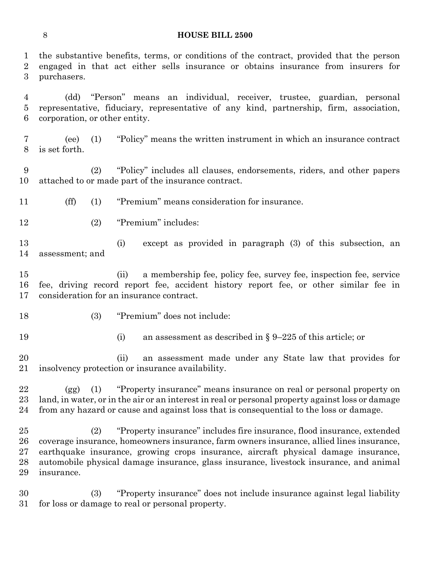the substantive benefits, terms, or conditions of the contract, provided that the person engaged in that act either sells insurance or obtains insurance from insurers for purchasers.

 (dd) "Person" means an individual, receiver, trustee, guardian, personal representative, fiduciary, representative of any kind, partnership, firm, association, corporation, or other entity.

 (ee) (1) "Policy" means the written instrument in which an insurance contract is set forth.

 (2) "Policy" includes all clauses, endorsements, riders, and other papers attached to or made part of the insurance contract.

(ff) (1) "Premium" means consideration for insurance.

(2) "Premium" includes:

 (i) except as provided in paragraph (3) of this subsection, an assessment; and

 (ii) a membership fee, policy fee, survey fee, inspection fee, service fee, driving record report fee, accident history report fee, or other similar fee in consideration for an insurance contract.

- 
- (3) "Premium" does not include:
- 
- 19 (i) an assessment as described in § 9–225 of this article; or

 (ii) an assessment made under any State law that provides for insolvency protection or insurance availability.

 (gg) (1) "Property insurance" means insurance on real or personal property on land, in water, or in the air or an interest in real or personal property against loss or damage from any hazard or cause and against loss that is consequential to the loss or damage.

 (2) "Property insurance" includes fire insurance, flood insurance, extended coverage insurance, homeowners insurance, farm owners insurance, allied lines insurance, earthquake insurance, growing crops insurance, aircraft physical damage insurance, automobile physical damage insurance, glass insurance, livestock insurance, and animal insurance.

 (3) "Property insurance" does not include insurance against legal liability for loss or damage to real or personal property.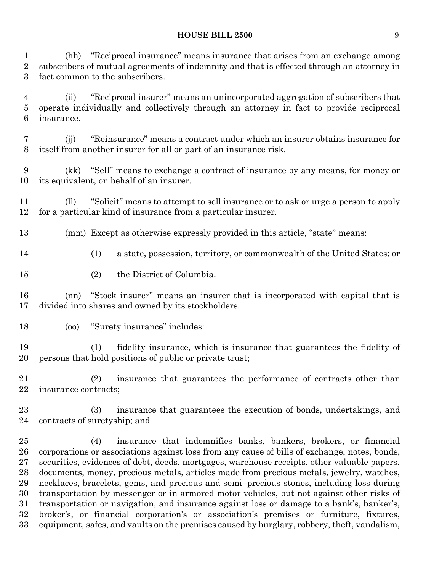(hh) "Reciprocal insurance" means insurance that arises from an exchange among subscribers of mutual agreements of indemnity and that is effected through an attorney in fact common to the subscribers.

 (ii) "Reciprocal insurer" means an unincorporated aggregation of subscribers that operate individually and collectively through an attorney in fact to provide reciprocal insurance.

 (jj) "Reinsurance" means a contract under which an insurer obtains insurance for itself from another insurer for all or part of an insurance risk.

 (kk) "Sell" means to exchange a contract of insurance by any means, for money or its equivalent, on behalf of an insurer.

 (ll) "Solicit" means to attempt to sell insurance or to ask or urge a person to apply for a particular kind of insurance from a particular insurer.

(mm) Except as otherwise expressly provided in this article, "state" means:

(1) a state, possession, territory, or commonwealth of the United States; or

(2) the District of Columbia.

 (nn) "Stock insurer" means an insurer that is incorporated with capital that is divided into shares and owned by its stockholders.

(oo) "Surety insurance" includes:

 (1) fidelity insurance, which is insurance that guarantees the fidelity of persons that hold positions of public or private trust;

 (2) insurance that guarantees the performance of contracts other than insurance contracts;

 (3) insurance that guarantees the execution of bonds, undertakings, and contracts of suretyship; and

 (4) insurance that indemnifies banks, bankers, brokers, or financial corporations or associations against loss from any cause of bills of exchange, notes, bonds, securities, evidences of debt, deeds, mortgages, warehouse receipts, other valuable papers, documents, money, precious metals, articles made from precious metals, jewelry, watches, necklaces, bracelets, gems, and precious and semi–precious stones, including loss during transportation by messenger or in armored motor vehicles, but not against other risks of transportation or navigation, and insurance against loss or damage to a bank's, banker's, broker's, or financial corporation's or association's premises or furniture, fixtures, equipment, safes, and vaults on the premises caused by burglary, robbery, theft, vandalism,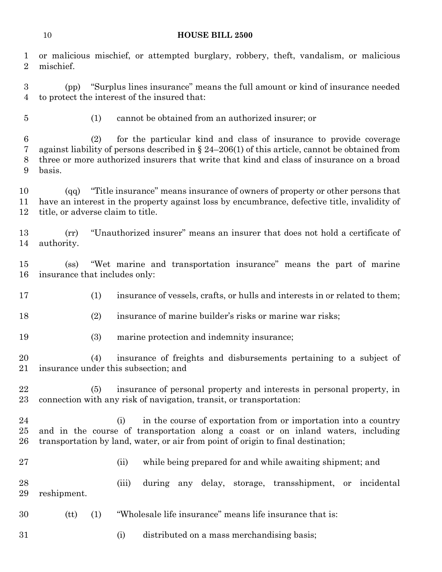or malicious mischief, or attempted burglary, robbery, theft, vandalism, or malicious

 mischief. (pp) "Surplus lines insurance" means the full amount or kind of insurance needed to protect the interest of the insured that: (1) cannot be obtained from an authorized insurer; or (2) for the particular kind and class of insurance to provide coverage against liability of persons described in § 24–206(1) of this article, cannot be obtained from three or more authorized insurers that write that kind and class of insurance on a broad basis. (qq) "Title insurance" means insurance of owners of property or other persons that have an interest in the property against loss by encumbrance, defective title, invalidity of title, or adverse claim to title. (rr) "Unauthorized insurer" means an insurer that does not hold a certificate of authority. (ss) "Wet marine and transportation insurance" means the part of marine insurance that includes only: (1) insurance of vessels, crafts, or hulls and interests in or related to them; (2) insurance of marine builder's risks or marine war risks; (3) marine protection and indemnity insurance; (4) insurance of freights and disbursements pertaining to a subject of insurance under this subsection; and (5) insurance of personal property and interests in personal property, in connection with any risk of navigation, transit, or transportation: (i) in the course of exportation from or importation into a country and in the course of transportation along a coast or on inland waters, including transportation by land, water, or air from point of origin to final destination; (ii) while being prepared for and while awaiting shipment; and (iii) during any delay, storage, transshipment, or incidental reshipment.

(tt) (1) "Wholesale life insurance" means life insurance that is:

(i) distributed on a mass merchandising basis;